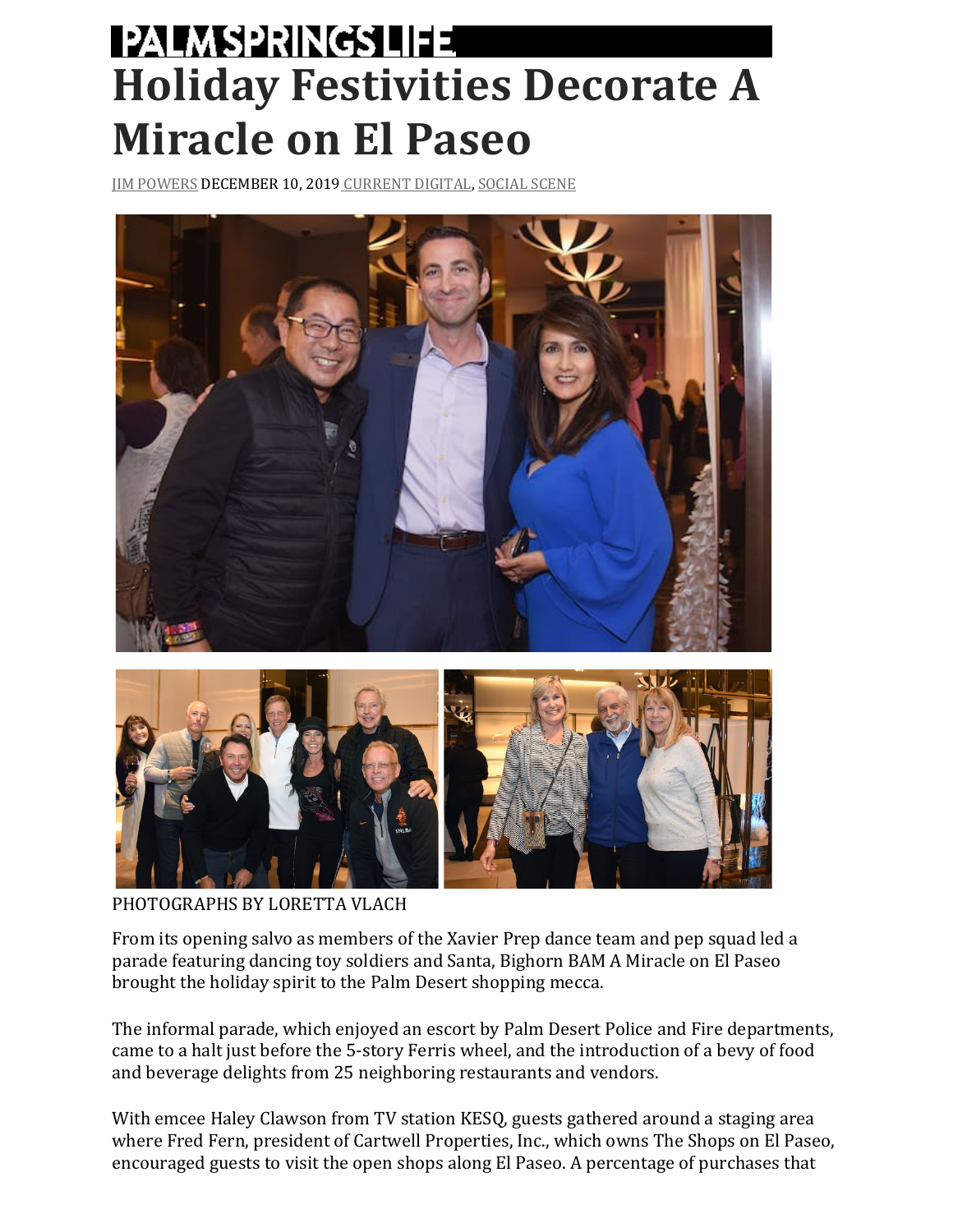## **PALM SPRINGS LIFE Holiday Festivities Decorate A Miracle on El Paseo**

JIM POWERS DECEMBER 10, 2019 CURRENT DIGITAL, SOCIAL SCENE





PHOTOGRAPHS BY LORETTA VLACH

From its opening salvo as members of the Xavier Prep dance team and pep squad led a parade featuring dancing toy soldiers and Santa, Bighorn BAM A Miracle on El Paseo brought the holiday spirit to the Palm Desert shopping mecca.

The informal parade, which enjoyed an escort by Palm Desert Police and Fire departments, came to a halt just before the 5-story Ferris wheel, and the introduction of a bevy of food and beverage delights from 25 neighboring restaurants and vendors.

With emcee Haley Clawson from TV station KESQ, guests gathered around a staging area where Fred Fern, president of Cartwell Properties, Inc., which owns The Shops on El Paseo, encouraged guests to visit the open shops along El Paseo. A percentage of purchases that